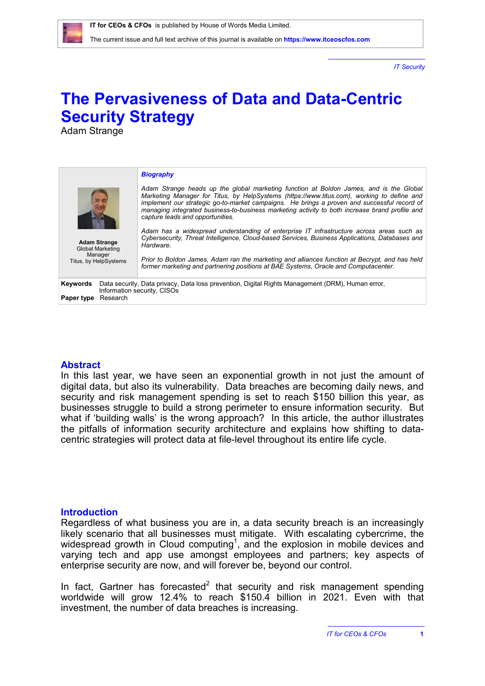*IT Security*

# **The Pervasiveness of Data and Data-Centric Security Strategy**

Adam Strange

| <b>Adam Strange</b><br><b>Global Marketing</b><br>Manager<br>Titus, by HelpSystems                                                                                    | <b>Biography</b><br>Adam Strange heads up the global marketing function at Boldon James, and is the Global<br>Marketing Manager for Titus, by HelpSystems (https://www.titus.com), working to define and<br>implement our strategic go-to-market campaigns. He brings a proven and successful record of<br>managing integrated business-to-business marketing activity to both increase brand profile and<br>capture leads and opportunities.<br>Adam has a widespread understanding of enterprise IT infrastructure across areas such as<br>Cybersecurity, Threat Intelligence, Cloud-based Services, Business Applications, Databases and<br>Hardware.<br>Prior to Boldon James, Adam ran the marketing and alliances function at Becrypt, and has held<br>former marketing and partnering positions at BAE Systems, Oracle and Computacenter. |
|-----------------------------------------------------------------------------------------------------------------------------------------------------------------------|--------------------------------------------------------------------------------------------------------------------------------------------------------------------------------------------------------------------------------------------------------------------------------------------------------------------------------------------------------------------------------------------------------------------------------------------------------------------------------------------------------------------------------------------------------------------------------------------------------------------------------------------------------------------------------------------------------------------------------------------------------------------------------------------------------------------------------------------------|
| Data security, Data privacy, Data loss prevention, Digital Rights Management (DRM), Human error,<br>Keywords<br>Information security, CISOs<br>Research<br>Paper type |                                                                                                                                                                                                                                                                                                                                                                                                                                                                                                                                                                                                                                                                                                                                                                                                                                                  |

## **Abstract**

In this last year, we have seen an exponential growth in not just the amount of digital data, but also its vulnerability. Data breaches are becoming daily news, and security and risk management spending is set to reach \$150 billion this year, as businesses struggle to build a strong perimeter to ensure information security. But what if 'building walls' is the wrong approach? In this article, the author illustrates the pitfalls of information security architecture and explains how shifting to datacentric strategies will protect data at file-level throughout its entire life cycle.

## **Introduction**

Regardless of what business you are in, a data security breach is an increasingly likely scenario that all businesses must mitigate. With escalating cybercrime, the widespread growth in Cloud computing<sup>1</sup>, and the explosion in mobile devices and varying tech and app use amongst employees and partners; key aspects of enterprise security are now, and will forever be, beyond our control.

In fact, Gartner has forecasted $2$  that security and risk management spending worldwide will grow 12.4% to reach \$150.4 billion in 2021. Even with that investment, the number of data breaches is increasing.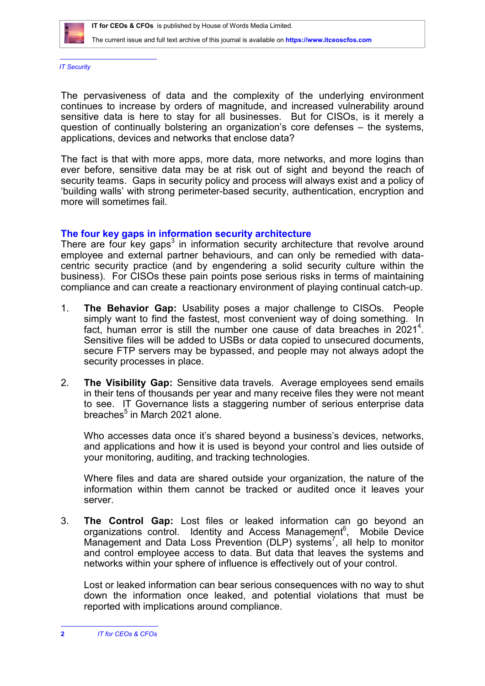

The current issue and full text archive of this journal is available on **<https://www.itceoscfos.com>** 

*IT Security*

The pervasiveness of data and the complexity of the underlying environment continues to increase by orders of magnitude, and increased vulnerability around sensitive data is here to stay for all businesses. But for CISOs, is it merely a question of continually bolstering an organization's core defenses – the systems, applications, devices and networks that enclose data?

The fact is that with more apps, more data, more networks, and more logins than ever before, sensitive data may be at risk out of sight and beyond the reach of security teams. Gaps in security policy and process will always exist and a policy of 'building walls' with strong perimeter-based security, authentication, encryption and more will sometimes fail.

## **The four key gaps in information security architecture**

There are four key gaps<sup>3</sup> in information security architecture that revolve around employee and external partner behaviours, and can only be remedied with datacentric security practice (and by engendering a solid security culture within the business). For CISOs these pain points pose serious risks in terms of maintaining compliance and can create a reactionary environment of playing continual catch-up.

- 1. **The Behavior Gap:** Usability poses a major challenge to CISOs. People simply want to find the fastest, most convenient way of doing something. In fact, human error is still the number one cause of data breaches in  $2021^4$ . Sensitive files will be added to USBs or data copied to unsecured documents, secure FTP servers may be bypassed, and people may not always adopt the security processes in place.
- 2. **The Visibility Gap:** Sensitive data travels. Average employees send emails in their tens of thousands per year and many receive files they were not meant to see. IT Governance lists a staggering number of serious enterprise data breaches $5$  in March 2021 alone.

Who accesses data once it's shared beyond a business's devices, networks, and applications and how it is used is beyond your control and lies outside of your monitoring, auditing, and tracking technologies.

Where files and data are shared outside your organization, the nature of the information within them cannot be tracked or audited once it leaves your server.

3. **The Control Gap:** Lost files or leaked information can go beyond an organizations control. Identity and Access Management<sup>6</sup>, Mobile Device Management and Data Loss Prevention (DLP) systems<sup>7</sup>, all help to monitor and control employee access to data. But data that leaves the systems and networks within your sphere of influence is effectively out of your control.

Lost or leaked information can bear serious consequences with no way to shut down the information once leaked, and potential violations that must be reported with implications around compliance.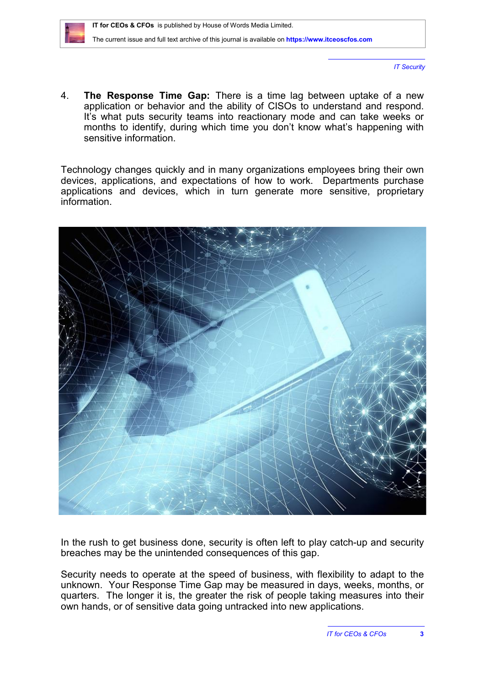*IT Security*

4. **The Response Time Gap:** There is a time lag between uptake of a new application or behavior and the ability of CISOs to understand and respond. It's what puts security teams into reactionary mode and can take weeks or months to identify, during which time you don't know what's happening with sensitive information.

Technology changes quickly and in many organizations employees bring their own devices, applications, and expectations of how to work. Departments purchase applications and devices, which in turn generate more sensitive, proprietary information.



In the rush to get business done, security is often left to play catch-up and security breaches may be the unintended consequences of this gap.

Security needs to operate at the speed of business, with flexibility to adapt to the unknown. Your Response Time Gap may be measured in days, weeks, months, or quarters. The longer it is, the greater the risk of people taking measures into their own hands, or of sensitive data going untracked into new applications.